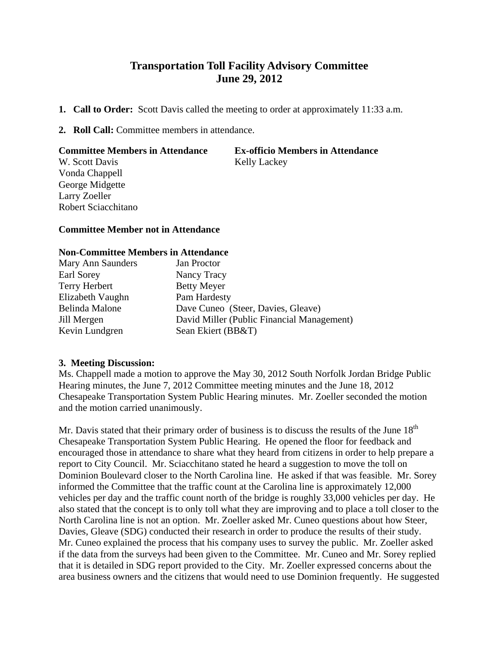# **Transportation Toll Facility Advisory Committee June 29, 2012**

- **1. Call to Order:** Scott Davis called the meeting to order at approximately 11:33 a.m.
- **2. Roll Call:** Committee members in attendance.

#### **Committee Members in Attendance Ex-officio Members in Attendance**

W. Scott Davis Kelly Lackey Vonda Chappell George Midgette Larry Zoeller Robert Sciacchitano

## **Committee Member not in Attendance**

### **Non-Committee Members in Attendance**

| Mary Ann Saunders | Jan Proctor                                |
|-------------------|--------------------------------------------|
| Earl Sorey        | Nancy Tracy                                |
| Terry Herbert     | <b>Betty Meyer</b>                         |
| Elizabeth Vaughn  | Pam Hardesty                               |
| Belinda Malone    | Dave Cuneo (Steer, Davies, Gleave)         |
| Jill Mergen       | David Miller (Public Financial Management) |
| Kevin Lundgren    | Sean Ekiert (BB&T)                         |

### **3. Meeting Discussion:**

Ms. Chappell made a motion to approve the May 30, 2012 South Norfolk Jordan Bridge Public Hearing minutes, the June 7, 2012 Committee meeting minutes and the June 18, 2012 Chesapeake Transportation System Public Hearing minutes. Mr. Zoeller seconded the motion and the motion carried unanimously.

Mr. Davis stated that their primary order of business is to discuss the results of the June  $18<sup>th</sup>$ Chesapeake Transportation System Public Hearing. He opened the floor for feedback and encouraged those in attendance to share what they heard from citizens in order to help prepare a report to City Council. Mr. Sciacchitano stated he heard a suggestion to move the toll on Dominion Boulevard closer to the North Carolina line. He asked if that was feasible. Mr. Sorey informed the Committee that the traffic count at the Carolina line is approximately 12,000 vehicles per day and the traffic count north of the bridge is roughly 33,000 vehicles per day. He also stated that the concept is to only toll what they are improving and to place a toll closer to the North Carolina line is not an option. Mr. Zoeller asked Mr. Cuneo questions about how Steer, Davies, Gleave (SDG) conducted their research in order to produce the results of their study. Mr. Cuneo explained the process that his company uses to survey the public. Mr. Zoeller asked if the data from the surveys had been given to the Committee. Mr. Cuneo and Mr. Sorey replied that it is detailed in SDG report provided to the City. Mr. Zoeller expressed concerns about the area business owners and the citizens that would need to use Dominion frequently. He suggested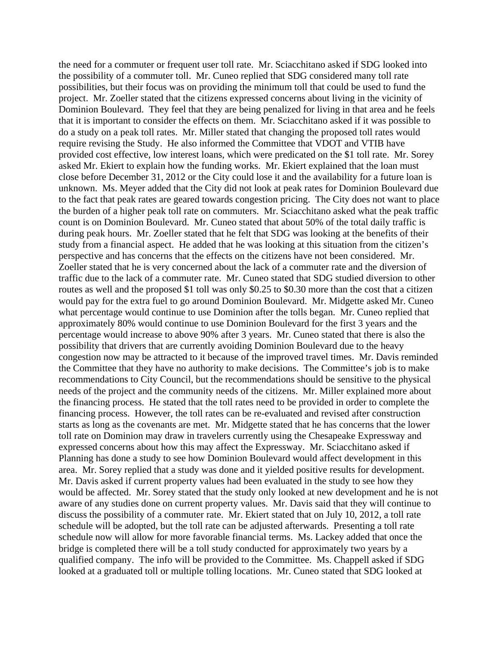the need for a commuter or frequent user toll rate. Mr. Sciacchitano asked if SDG looked into the possibility of a commuter toll. Mr. Cuneo replied that SDG considered many toll rate possibilities, but their focus was on providing the minimum toll that could be used to fund the project. Mr. Zoeller stated that the citizens expressed concerns about living in the vicinity of Dominion Boulevard. They feel that they are being penalized for living in that area and he feels that it is important to consider the effects on them. Mr. Sciacchitano asked if it was possible to do a study on a peak toll rates. Mr. Miller stated that changing the proposed toll rates would require revising the Study. He also informed the Committee that VDOT and VTIB have provided cost effective, low interest loans, which were predicated on the \$1 toll rate. Mr. Sorey asked Mr. Ekiert to explain how the funding works. Mr. Ekiert explained that the loan must close before December 31, 2012 or the City could lose it and the availability for a future loan is unknown. Ms. Meyer added that the City did not look at peak rates for Dominion Boulevard due to the fact that peak rates are geared towards congestion pricing. The City does not want to place the burden of a higher peak toll rate on commuters. Mr. Sciacchitano asked what the peak traffic count is on Dominion Boulevard. Mr. Cuneo stated that about 50% of the total daily traffic is during peak hours. Mr. Zoeller stated that he felt that SDG was looking at the benefits of their study from a financial aspect. He added that he was looking at this situation from the citizen's perspective and has concerns that the effects on the citizens have not been considered. Mr. Zoeller stated that he is very concerned about the lack of a commuter rate and the diversion of traffic due to the lack of a commuter rate. Mr. Cuneo stated that SDG studied diversion to other routes as well and the proposed \$1 toll was only \$0.25 to \$0.30 more than the cost that a citizen would pay for the extra fuel to go around Dominion Boulevard. Mr. Midgette asked Mr. Cuneo what percentage would continue to use Dominion after the tolls began. Mr. Cuneo replied that approximately 80% would continue to use Dominion Boulevard for the first 3 years and the percentage would increase to above 90% after 3 years. Mr. Cuneo stated that there is also the possibility that drivers that are currently avoiding Dominion Boulevard due to the heavy congestion now may be attracted to it because of the improved travel times. Mr. Davis reminded the Committee that they have no authority to make decisions. The Committee's job is to make recommendations to City Council, but the recommendations should be sensitive to the physical needs of the project and the community needs of the citizens. Mr. Miller explained more about the financing process. He stated that the toll rates need to be provided in order to complete the financing process. However, the toll rates can be re-evaluated and revised after construction starts as long as the covenants are met. Mr. Midgette stated that he has concerns that the lower toll rate on Dominion may draw in travelers currently using the Chesapeake Expressway and expressed concerns about how this may affect the Expressway. Mr. Sciacchitano asked if Planning has done a study to see how Dominion Boulevard would affect development in this area. Mr. Sorey replied that a study was done and it yielded positive results for development. Mr. Davis asked if current property values had been evaluated in the study to see how they would be affected. Mr. Sorey stated that the study only looked at new development and he is not aware of any studies done on current property values. Mr. Davis said that they will continue to discuss the possibility of a commuter rate. Mr. Ekiert stated that on July 10, 2012, a toll rate schedule will be adopted, but the toll rate can be adjusted afterwards. Presenting a toll rate schedule now will allow for more favorable financial terms. Ms. Lackey added that once the bridge is completed there will be a toll study conducted for approximately two years by a qualified company. The info will be provided to the Committee. Ms. Chappell asked if SDG looked at a graduated toll or multiple tolling locations. Mr. Cuneo stated that SDG looked at